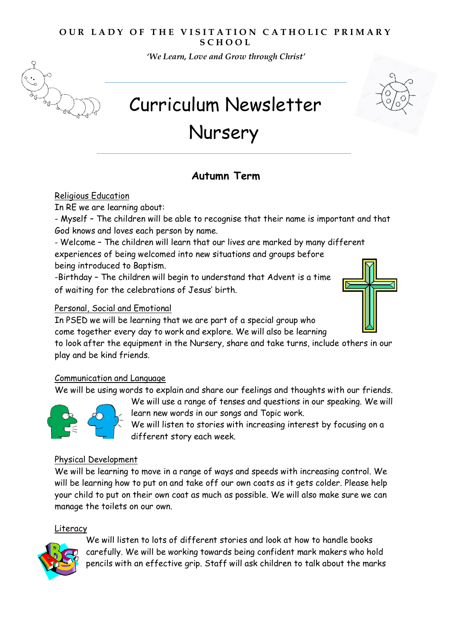## **OUR LADY OF THE VISITATION CATHOLIC PRIMARY S C H O O L**

*'We Learn, Love and Grow through Christ'* 



Curriculum Newsletter

# Nursery

# **Autumn Term**

#### Religious Education

In RE we are learning about:

- Myself – The children will be able to recognise that their name is important and that God knows and loves each person by name.

- Welcome – The children will learn that our lives are marked by many different experiences of being welcomed into new situations and groups before being introduced to Baptism.

-Birthday – The children will begin to understand that Advent is a time of waiting for the celebrations of Jesus' birth.

## Personal, Social and Emotional

In PSED we will be learning that we are part of a special group who

come together every day to work and explore. We will also be learning

to look after the equipment in the Nursery, share and take turns, include others in our play and be kind friends.

#### Communication and Language

We will be using words to explain and share our feelings and thoughts with our friends.



We will use a range of tenses and questions in our speaking. We will learn new words in our songs and Topic work.

We will listen to stories with increasing interest by focusing on a different story each week.

#### Physical Development

We will be learning to move in a range of ways and speeds with increasing control. We will be learning how to put on and take off our own coats as it gets colder. Please help your child to put on their own coat as much as possible. We will also make sure we can manage the toilets on our own.

#### Literacy



We will listen to lots of different stories and look at how to handle books carefully. We will be working towards being confident mark makers who hold pencils with an effective grip. Staff will ask children to talk about the marks